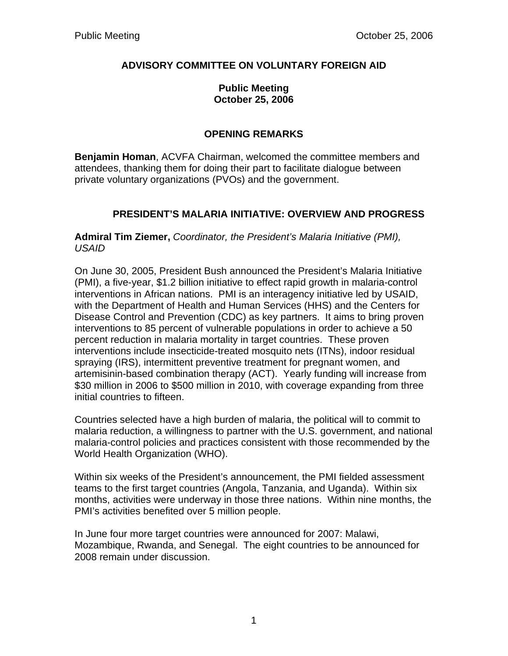## **ADVISORY COMMITTEE ON VOLUNTARY FOREIGN AID**

#### **Public Meeting October 25, 2006**

## **OPENING REMARKS**

**Benjamin Homan**, ACVFA Chairman, welcomed the committee members and attendees, thanking them for doing their part to facilitate dialogue between private voluntary organizations (PVOs) and the government.

## **PRESIDENT'S MALARIA INITIATIVE: OVERVIEW AND PROGRESS**

**Admiral Tim Ziemer,** *Coordinator, the President's Malaria Initiative (PMI), USAID* 

On June 30, 2005, President Bush announced the President's Malaria Initiative (PMI), a five-year, \$1.2 billion initiative to effect rapid growth in malaria-control interventions in African nations. PMI is an interagency initiative led by USAID, with the Department of Health and Human Services (HHS) and the Centers for Disease Control and Prevention (CDC) as key partners. It aims to bring proven interventions to 85 percent of vulnerable populations in order to achieve a 50 percent reduction in malaria mortality in target countries. These proven interventions include insecticide-treated mosquito nets (ITNs), indoor residual spraying (IRS), intermittent preventive treatment for pregnant women, and artemisinin-based combination therapy (ACT). Yearly funding will increase from \$30 million in 2006 to \$500 million in 2010, with coverage expanding from three initial countries to fifteen.

Countries selected have a high burden of malaria, the political will to commit to malaria reduction, a willingness to partner with the U.S. government, and national malaria-control policies and practices consistent with those recommended by the World Health Organization (WHO).

Within six weeks of the President's announcement, the PMI fielded assessment teams to the first target countries (Angola, Tanzania, and Uganda). Within six months, activities were underway in those three nations. Within nine months, the PMI's activities benefited over 5 million people.

In June four more target countries were announced for 2007: Malawi, Mozambique, Rwanda, and Senegal. The eight countries to be announced for 2008 remain under discussion.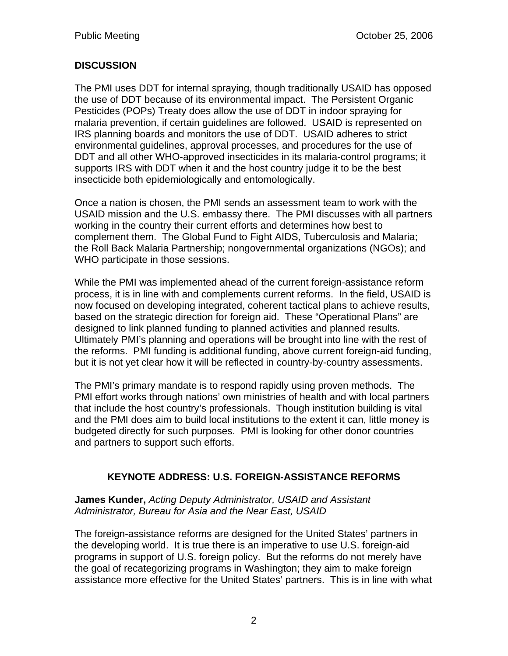# **DISCUSSION**

The PMI uses DDT for internal spraying, though traditionally USAID has opposed the use of DDT because of its environmental impact. The Persistent Organic Pesticides (POPs) Treaty does allow the use of DDT in indoor spraying for malaria prevention, if certain guidelines are followed. USAID is represented on IRS planning boards and monitors the use of DDT. USAID adheres to strict environmental guidelines, approval processes, and procedures for the use of DDT and all other WHO-approved insecticides in its malaria-control programs; it supports IRS with DDT when it and the host country judge it to be the best insecticide both epidemiologically and entomologically.

Once a nation is chosen, the PMI sends an assessment team to work with the USAID mission and the U.S. embassy there. The PMI discusses with all partners working in the country their current efforts and determines how best to complement them. The Global Fund to Fight AIDS, Tuberculosis and Malaria; the Roll Back Malaria Partnership; nongovernmental organizations (NGOs); and WHO participate in those sessions.

While the PMI was implemented ahead of the current foreign-assistance reform process, it is in line with and complements current reforms. In the field, USAID is now focused on developing integrated, coherent tactical plans to achieve results, based on the strategic direction for foreign aid. These "Operational Plans" are designed to link planned funding to planned activities and planned results. Ultimately PMI's planning and operations will be brought into line with the rest of the reforms. PMI funding is additional funding, above current foreign-aid funding, but it is not yet clear how it will be reflected in country-by-country assessments.

The PMI's primary mandate is to respond rapidly using proven methods. The PMI effort works through nations' own ministries of health and with local partners that include the host country's professionals. Though institution building is vital and the PMI does aim to build local institutions to the extent it can, little money is budgeted directly for such purposes. PMI is looking for other donor countries and partners to support such efforts.

## **KEYNOTE ADDRESS: U.S. FOREIGN-ASSISTANCE REFORMS**

**James Kunder,** *Acting Deputy Administrator, USAID and Assistant Administrator, Bureau for Asia and the Near East, USAID*

The foreign-assistance reforms are designed for the United States' partners in the developing world. It is true there is an imperative to use U.S. foreign-aid programs in support of U.S. foreign policy. But the reforms do not merely have the goal of recategorizing programs in Washington; they aim to make foreign assistance more effective for the United States' partners. This is in line with what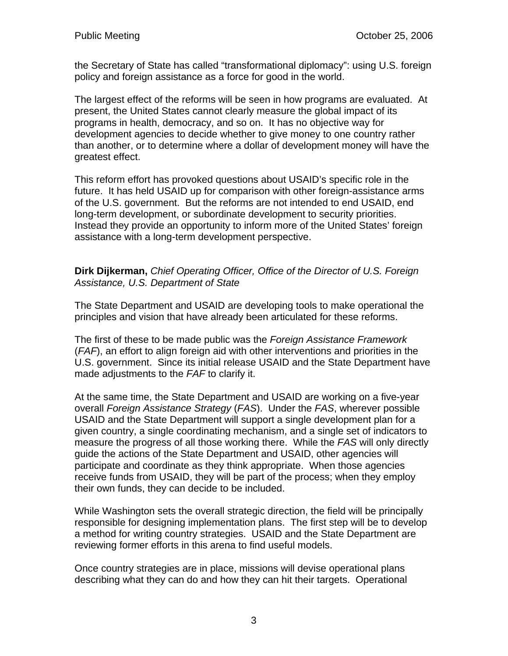the Secretary of State has called "transformational diplomacy": using U.S. foreign policy and foreign assistance as a force for good in the world.

The largest effect of the reforms will be seen in how programs are evaluated. At present, the United States cannot clearly measure the global impact of its programs in health, democracy, and so on. It has no objective way for development agencies to decide whether to give money to one country rather than another, or to determine where a dollar of development money will have the greatest effect.

This reform effort has provoked questions about USAID's specific role in the future. It has held USAID up for comparison with other foreign-assistance arms of the U.S. government. But the reforms are not intended to end USAID, end long-term development, or subordinate development to security priorities. Instead they provide an opportunity to inform more of the United States' foreign assistance with a long-term development perspective.

#### **Dirk Dijkerman,** *Chief Operating Officer, Office of the Director of U.S. Foreign Assistance, U.S. Department of State*

The State Department and USAID are developing tools to make operational the principles and vision that have already been articulated for these reforms.

The first of these to be made public was the *Foreign Assistance Framework* (*FAF*), an effort to align foreign aid with other interventions and priorities in the U.S. government. Since its initial release USAID and the State Department have made adjustments to the *FAF* to clarify it.

At the same time, the State Department and USAID are working on a five-year overall *Foreign Assistance Strategy* (*FAS*). Under the *FAS*, wherever possible USAID and the State Department will support a single development plan for a given country, a single coordinating mechanism, and a single set of indicators to measure the progress of all those working there. While the *FAS* will only directly guide the actions of the State Department and USAID, other agencies will participate and coordinate as they think appropriate. When those agencies receive funds from USAID, they will be part of the process; when they employ their own funds, they can decide to be included.

While Washington sets the overall strategic direction, the field will be principally responsible for designing implementation plans. The first step will be to develop a method for writing country strategies. USAID and the State Department are reviewing former efforts in this arena to find useful models.

Once country strategies are in place, missions will devise operational plans describing what they can do and how they can hit their targets. Operational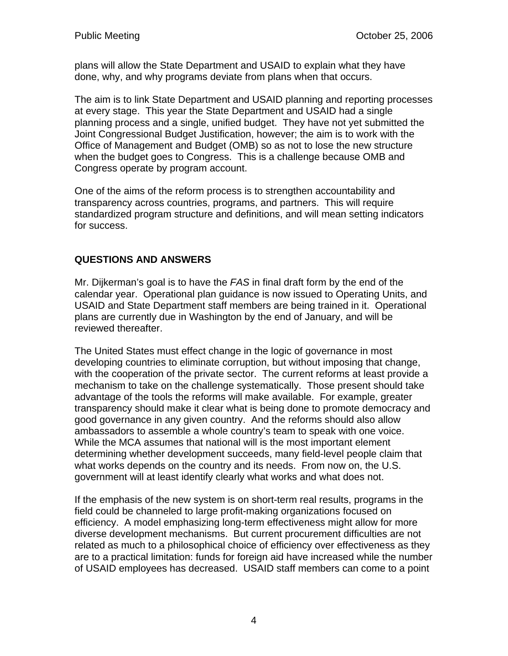plans will allow the State Department and USAID to explain what they have done, why, and why programs deviate from plans when that occurs.

The aim is to link State Department and USAID planning and reporting processes at every stage. This year the State Department and USAID had a single planning process and a single, unified budget. They have not yet submitted the Joint Congressional Budget Justification, however; the aim is to work with the Office of Management and Budget (OMB) so as not to lose the new structure when the budget goes to Congress. This is a challenge because OMB and Congress operate by program account.

One of the aims of the reform process is to strengthen accountability and transparency across countries, programs, and partners. This will require standardized program structure and definitions, and will mean setting indicators for success.

## **QUESTIONS AND ANSWERS**

Mr. Dijkerman's goal is to have the *FAS* in final draft form by the end of the calendar year. Operational plan guidance is now issued to Operating Units, and USAID and State Department staff members are being trained in it. Operational plans are currently due in Washington by the end of January, and will be reviewed thereafter.

The United States must effect change in the logic of governance in most developing countries to eliminate corruption, but without imposing that change, with the cooperation of the private sector. The current reforms at least provide a mechanism to take on the challenge systematically. Those present should take advantage of the tools the reforms will make available. For example, greater transparency should make it clear what is being done to promote democracy and good governance in any given country. And the reforms should also allow ambassadors to assemble a whole country's team to speak with one voice. While the MCA assumes that national will is the most important element determining whether development succeeds, many field-level people claim that what works depends on the country and its needs. From now on, the U.S. government will at least identify clearly what works and what does not.

If the emphasis of the new system is on short-term real results, programs in the field could be channeled to large profit-making organizations focused on efficiency. A model emphasizing long-term effectiveness might allow for more diverse development mechanisms. But current procurement difficulties are not related as much to a philosophical choice of efficiency over effectiveness as they are to a practical limitation: funds for foreign aid have increased while the number of USAID employees has decreased. USAID staff members can come to a point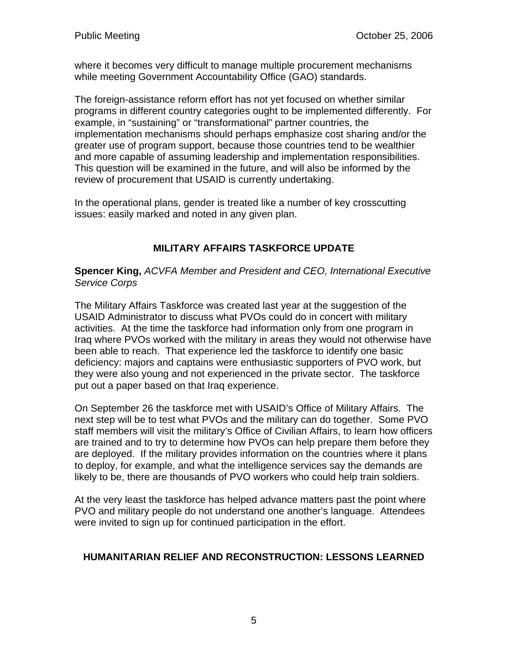where it becomes very difficult to manage multiple procurement mechanisms while meeting Government Accountability Office (GAO) standards.

The foreign-assistance reform effort has not yet focused on whether similar programs in different country categories ought to be implemented differently. For example, in "sustaining" or "transformational" partner countries, the implementation mechanisms should perhaps emphasize cost sharing and/or the greater use of program support, because those countries tend to be wealthier and more capable of assuming leadership and implementation responsibilities. This question will be examined in the future, and will also be informed by the review of procurement that USAID is currently undertaking.

In the operational plans, gender is treated like a number of key crosscutting issues: easily marked and noted in any given plan.

# **MILITARY AFFAIRS TASKFORCE UPDATE**

**Spencer King,** *ACVFA Member and President and CEO, International Executive Service Corps* 

The Military Affairs Taskforce was created last year at the suggestion of the USAID Administrator to discuss what PVOs could do in concert with military activities. At the time the taskforce had information only from one program in Iraq where PVOs worked with the military in areas they would not otherwise have been able to reach. That experience led the taskforce to identify one basic deficiency: majors and captains were enthusiastic supporters of PVO work, but they were also young and not experienced in the private sector. The taskforce put out a paper based on that Iraq experience.

On September 26 the taskforce met with USAID's Office of Military Affairs. The next step will be to test what PVOs and the military can do together. Some PVO staff members will visit the military's Office of Civilian Affairs, to learn how officers are trained and to try to determine how PVOs can help prepare them before they are deployed. If the military provides information on the countries where it plans to deploy, for example, and what the intelligence services say the demands are likely to be, there are thousands of PVO workers who could help train soldiers.

At the very least the taskforce has helped advance matters past the point where PVO and military people do not understand one another's language. Attendees were invited to sign up for continued participation in the effort.

### **HUMANITARIAN RELIEF AND RECONSTRUCTION: LESSONS LEARNED**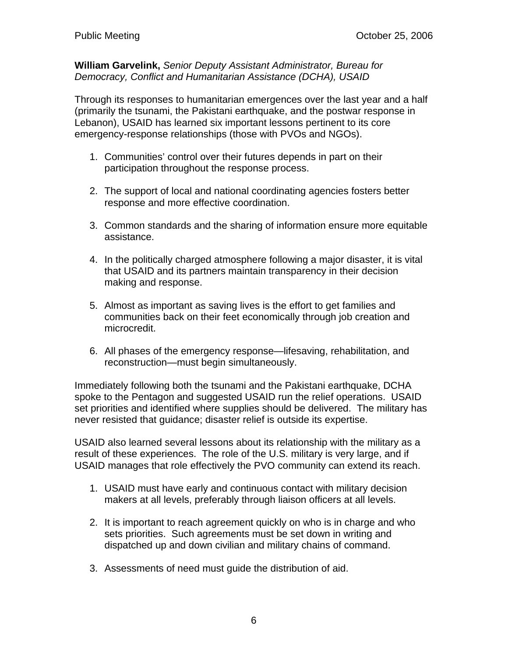**William Garvelink,** *Senior Deputy Assistant Administrator, Bureau for Democracy, Conflict and Humanitarian Assistance (DCHA), USAID* 

Through its responses to humanitarian emergences over the last year and a half (primarily the tsunami, the Pakistani earthquake, and the postwar response in Lebanon), USAID has learned six important lessons pertinent to its core emergency-response relationships (those with PVOs and NGOs).

- 1. Communities' control over their futures depends in part on their participation throughout the response process.
- 2. The support of local and national coordinating agencies fosters better response and more effective coordination.
- 3. Common standards and the sharing of information ensure more equitable assistance.
- 4. In the politically charged atmosphere following a major disaster, it is vital that USAID and its partners maintain transparency in their decision making and response.
- 5. Almost as important as saving lives is the effort to get families and communities back on their feet economically through job creation and microcredit.
- 6. All phases of the emergency response—lifesaving, rehabilitation, and reconstruction—must begin simultaneously.

Immediately following both the tsunami and the Pakistani earthquake, DCHA spoke to the Pentagon and suggested USAID run the relief operations. USAID set priorities and identified where supplies should be delivered. The military has never resisted that guidance; disaster relief is outside its expertise.

USAID also learned several lessons about its relationship with the military as a result of these experiences. The role of the U.S. military is very large, and if USAID manages that role effectively the PVO community can extend its reach.

- 1. USAID must have early and continuous contact with military decision makers at all levels, preferably through liaison officers at all levels.
- 2. It is important to reach agreement quickly on who is in charge and who sets priorities. Such agreements must be set down in writing and dispatched up and down civilian and military chains of command.
- 3. Assessments of need must guide the distribution of aid.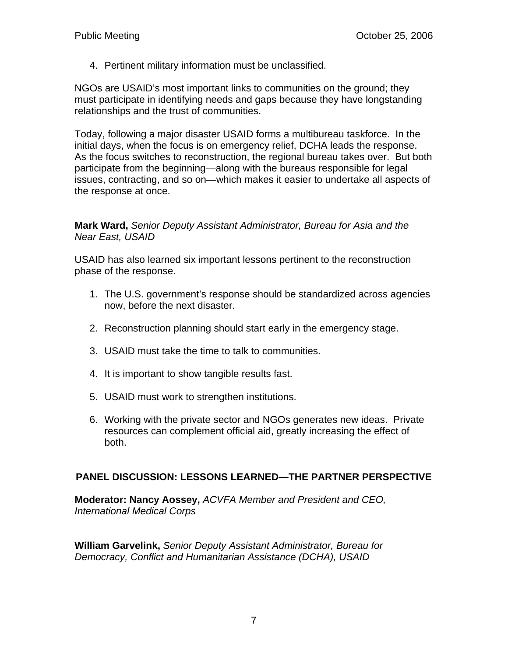4. Pertinent military information must be unclassified.

NGOs are USAID's most important links to communities on the ground; they must participate in identifying needs and gaps because they have longstanding relationships and the trust of communities.

Today, following a major disaster USAID forms a multibureau taskforce. In the initial days, when the focus is on emergency relief, DCHA leads the response. As the focus switches to reconstruction, the regional bureau takes over. But both participate from the beginning—along with the bureaus responsible for legal issues, contracting, and so on—which makes it easier to undertake all aspects of the response at once.

### **Mark Ward,** *Senior Deputy Assistant Administrator, Bureau for Asia and the Near East, USAID*

USAID has also learned six important lessons pertinent to the reconstruction phase of the response.

- 1. The U.S. government's response should be standardized across agencies now, before the next disaster.
- 2. Reconstruction planning should start early in the emergency stage.
- 3. USAID must take the time to talk to communities.
- 4. It is important to show tangible results fast.
- 5. USAID must work to strengthen institutions.
- 6. Working with the private sector and NGOs generates new ideas. Private resources can complement official aid, greatly increasing the effect of both.

#### **PANEL DISCUSSION: LESSONS LEARNED—THE PARTNER PERSPECTIVE**

**Moderator: Nancy Aossey,** *ACVFA Member and President and CEO, International Medical Corps*

**William Garvelink,** *Senior Deputy Assistant Administrator, Bureau for Democracy, Conflict and Humanitarian Assistance (DCHA), USAID*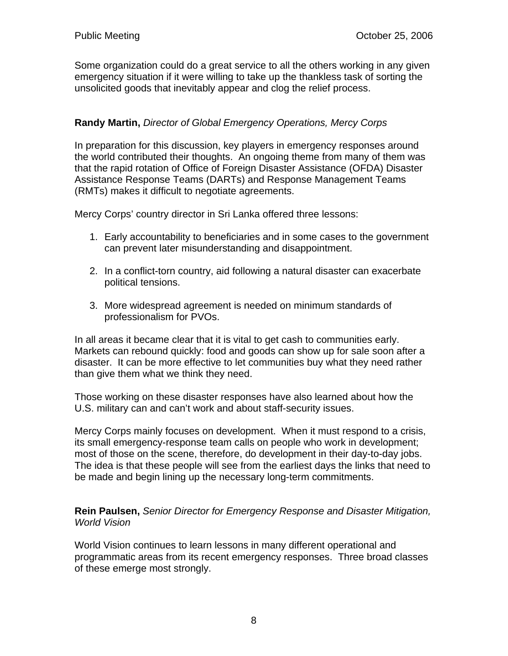Some organization could do a great service to all the others working in any given emergency situation if it were willing to take up the thankless task of sorting the unsolicited goods that inevitably appear and clog the relief process.

## **Randy Martin,** *Director of Global Emergency Operations, Mercy Corps*

In preparation for this discussion, key players in emergency responses around the world contributed their thoughts. An ongoing theme from many of them was that the rapid rotation of Office of Foreign Disaster Assistance (OFDA) Disaster Assistance Response Teams (DARTs) and Response Management Teams (RMTs) makes it difficult to negotiate agreements.

Mercy Corps' country director in Sri Lanka offered three lessons:

- 1. Early accountability to beneficiaries and in some cases to the government can prevent later misunderstanding and disappointment.
- 2. In a conflict-torn country, aid following a natural disaster can exacerbate political tensions.
- 3. More widespread agreement is needed on minimum standards of professionalism for PVOs.

In all areas it became clear that it is vital to get cash to communities early. Markets can rebound quickly: food and goods can show up for sale soon after a disaster. It can be more effective to let communities buy what they need rather than give them what we think they need.

Those working on these disaster responses have also learned about how the U.S. military can and can't work and about staff-security issues.

Mercy Corps mainly focuses on development. When it must respond to a crisis, its small emergency-response team calls on people who work in development; most of those on the scene, therefore, do development in their day-to-day jobs. The idea is that these people will see from the earliest days the links that need to be made and begin lining up the necessary long-term commitments.

**Rein Paulsen,** *Senior Director for Emergency Response and Disaster Mitigation, World Vision* 

World Vision continues to learn lessons in many different operational and programmatic areas from its recent emergency responses. Three broad classes of these emerge most strongly.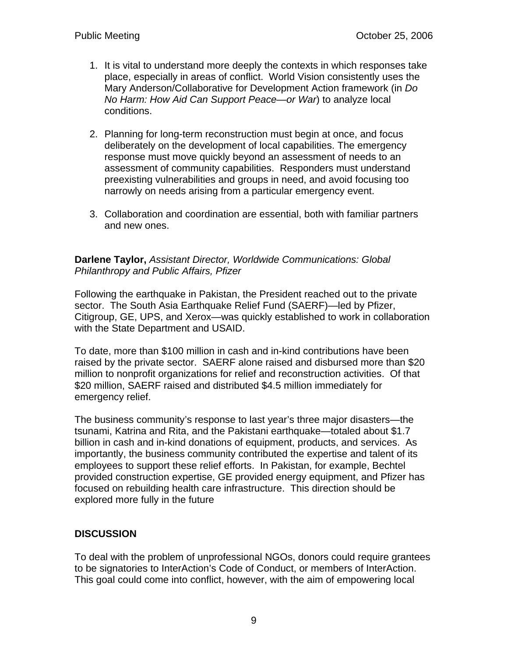- 1. It is vital to understand more deeply the contexts in which responses take place, especially in areas of conflict. World Vision consistently uses the Mary Anderson/Collaborative for Development Action framework (in *Do No Harm: How Aid Can Support Peace—or War*) to analyze local conditions.
- 2. Planning for long-term reconstruction must begin at once, and focus deliberately on the development of local capabilities. The emergency response must move quickly beyond an assessment of needs to an assessment of community capabilities. Responders must understand preexisting vulnerabilities and groups in need, and avoid focusing too narrowly on needs arising from a particular emergency event.
- 3. Collaboration and coordination are essential, both with familiar partners and new ones.

#### **Darlene Taylor,** *Assistant Director, Worldwide Communications: Global Philanthropy and Public Affairs, Pfizer*

Following the earthquake in Pakistan, the President reached out to the private sector. The South Asia Earthquake Relief Fund (SAERF)—led by Pfizer, Citigroup, GE, UPS, and Xerox—was quickly established to work in collaboration with the State Department and USAID.

To date, more than \$100 million in cash and in-kind contributions have been raised by the private sector. SAERF alone raised and disbursed more than \$20 million to nonprofit organizations for relief and reconstruction activities. Of that \$20 million, SAERF raised and distributed \$4.5 million immediately for emergency relief.

The business community's response to last year's three major disasters—the tsunami, Katrina and Rita, and the Pakistani earthquake—totaled about \$1.7 billion in cash and in-kind donations of equipment, products, and services. As importantly, the business community contributed the expertise and talent of its employees to support these relief efforts. In Pakistan, for example, Bechtel provided construction expertise, GE provided energy equipment, and Pfizer has focused on rebuilding health care infrastructure. This direction should be explored more fully in the future

### **DISCUSSION**

To deal with the problem of unprofessional NGOs, donors could require grantees to be signatories to InterAction's Code of Conduct, or members of InterAction. This goal could come into conflict, however, with the aim of empowering local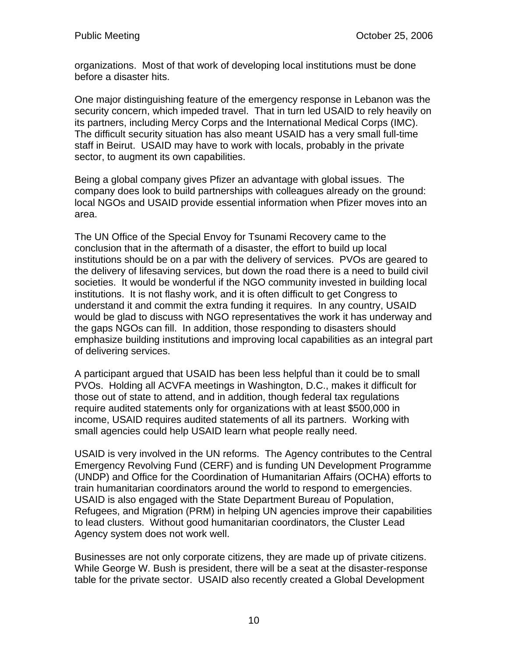organizations. Most of that work of developing local institutions must be done before a disaster hits.

One major distinguishing feature of the emergency response in Lebanon was the security concern, which impeded travel. That in turn led USAID to rely heavily on its partners, including Mercy Corps and the International Medical Corps (IMC). The difficult security situation has also meant USAID has a very small full-time staff in Beirut. USAID may have to work with locals, probably in the private sector, to augment its own capabilities.

Being a global company gives Pfizer an advantage with global issues. The company does look to build partnerships with colleagues already on the ground: local NGOs and USAID provide essential information when Pfizer moves into an area.

The UN Office of the Special Envoy for Tsunami Recovery came to the conclusion that in the aftermath of a disaster, the effort to build up local institutions should be on a par with the delivery of services. PVOs are geared to the delivery of lifesaving services, but down the road there is a need to build civil societies. It would be wonderful if the NGO community invested in building local institutions. It is not flashy work, and it is often difficult to get Congress to understand it and commit the extra funding it requires. In any country, USAID would be glad to discuss with NGO representatives the work it has underway and the gaps NGOs can fill. In addition, those responding to disasters should emphasize building institutions and improving local capabilities as an integral part of delivering services.

A participant argued that USAID has been less helpful than it could be to small PVOs. Holding all ACVFA meetings in Washington, D.C., makes it difficult for those out of state to attend, and in addition, though federal tax regulations require audited statements only for organizations with at least \$500,000 in income, USAID requires audited statements of all its partners. Working with small agencies could help USAID learn what people really need.

USAID is very involved in the UN reforms. The Agency contributes to the Central Emergency Revolving Fund (CERF) and is funding UN Development Programme (UNDP) and Office for the Coordination of Humanitarian Affairs (OCHA) efforts to train humanitarian coordinators around the world to respond to emergencies. USAID is also engaged with the State Department Bureau of Population, Refugees, and Migration (PRM) in helping UN agencies improve their capabilities to lead clusters. Without good humanitarian coordinators, the Cluster Lead Agency system does not work well.

Businesses are not only corporate citizens, they are made up of private citizens. While George W. Bush is president, there will be a seat at the disaster-response table for the private sector. USAID also recently created a Global Development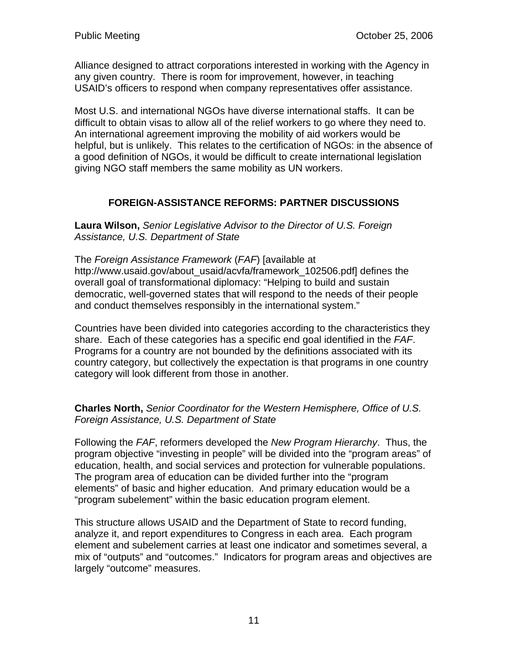Alliance designed to attract corporations interested in working with the Agency in any given country. There is room for improvement, however, in teaching USAID's officers to respond when company representatives offer assistance.

Most U.S. and international NGOs have diverse international staffs. It can be difficult to obtain visas to allow all of the relief workers to go where they need to. An international agreement improving the mobility of aid workers would be helpful, but is unlikely. This relates to the certification of NGOs: in the absence of a good definition of NGOs, it would be difficult to create international legislation giving NGO staff members the same mobility as UN workers.

## **FOREIGN-ASSISTANCE REFORMS: PARTNER DISCUSSIONS**

**Laura Wilson,** *Senior Legislative Advisor to the Director of U.S. Foreign Assistance, U.S. Department of State*

The *Foreign Assistance Framework* (*FAF*) [available at http://www.usaid.gov/about\_usaid/acvfa/framework\_102506.pdf] defines the overall goal of transformational diplomacy: "Helping to build and sustain democratic, well-governed states that will respond to the needs of their people and conduct themselves responsibly in the international system."

Countries have been divided into categories according to the characteristics they share. Each of these categories has a specific end goal identified in the *FAF*. Programs for a country are not bounded by the definitions associated with its country category, but collectively the expectation is that programs in one country category will look different from those in another.

#### **Charles North,** *Senior Coordinator for the Western Hemisphere, Office of U.S. Foreign Assistance, U.S. Department of State*

Following the *FAF*, reformers developed the *New Program Hierarchy*. Thus, the program objective "investing in people" will be divided into the "program areas" of education, health, and social services and protection for vulnerable populations. The program area of education can be divided further into the "program elements" of basic and higher education. And primary education would be a "program subelement" within the basic education program element.

This structure allows USAID and the Department of State to record funding, analyze it, and report expenditures to Congress in each area. Each program element and subelement carries at least one indicator and sometimes several, a mix of "outputs" and "outcomes." Indicators for program areas and objectives are largely "outcome" measures.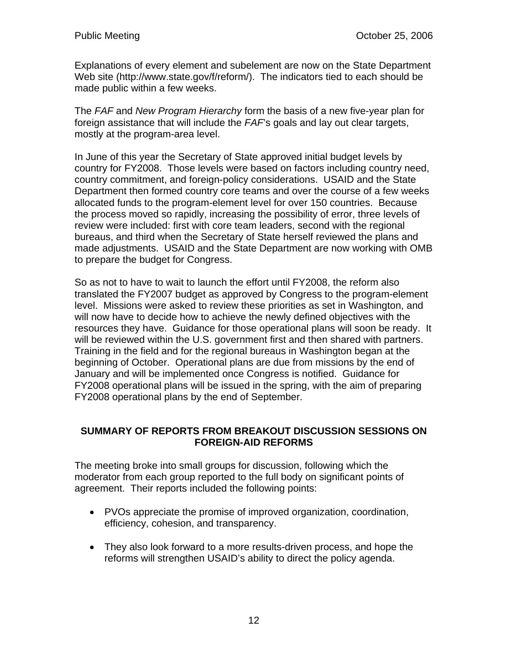Explanations of every element and subelement are now on the State Department Web site (http://www.state.gov/f/reform/). The indicators tied to each should be made public within a few weeks.

The *FAF* and *New Program Hierarchy* form the basis of a new five-year plan for foreign assistance that will include the *FAF*'s goals and lay out clear targets, mostly at the program-area level.

In June of this year the Secretary of State approved initial budget levels by country for FY2008. Those levels were based on factors including country need, country commitment, and foreign-policy considerations. USAID and the State Department then formed country core teams and over the course of a few weeks allocated funds to the program-element level for over 150 countries. Because the process moved so rapidly, increasing the possibility of error, three levels of review were included: first with core team leaders, second with the regional bureaus, and third when the Secretary of State herself reviewed the plans and made adjustments. USAID and the State Department are now working with OMB to prepare the budget for Congress.

So as not to have to wait to launch the effort until FY2008, the reform also translated the FY2007 budget as approved by Congress to the program-element level. Missions were asked to review these priorities as set in Washington, and will now have to decide how to achieve the newly defined objectives with the resources they have. Guidance for those operational plans will soon be ready. It will be reviewed within the U.S. government first and then shared with partners. Training in the field and for the regional bureaus in Washington began at the beginning of October. Operational plans are due from missions by the end of January and will be implemented once Congress is notified. Guidance for FY2008 operational plans will be issued in the spring, with the aim of preparing FY2008 operational plans by the end of September.

#### **SUMMARY OF REPORTS FROM BREAKOUT DISCUSSION SESSIONS ON FOREIGN-AID REFORMS**

The meeting broke into small groups for discussion, following which the moderator from each group reported to the full body on significant points of agreement. Their reports included the following points:

- PVOs appreciate the promise of improved organization, coordination, efficiency, cohesion, and transparency.
- They also look forward to a more results-driven process, and hope the reforms will strengthen USAID's ability to direct the policy agenda.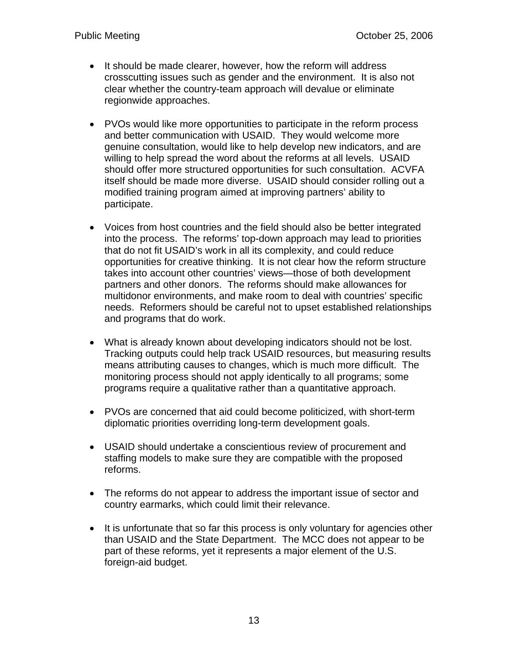- It should be made clearer, however, how the reform will address crosscutting issues such as gender and the environment. It is also not clear whether the country-team approach will devalue or eliminate regionwide approaches.
- PVOs would like more opportunities to participate in the reform process and better communication with USAID. They would welcome more genuine consultation, would like to help develop new indicators, and are willing to help spread the word about the reforms at all levels. USAID should offer more structured opportunities for such consultation. ACVFA itself should be made more diverse. USAID should consider rolling out a modified training program aimed at improving partners' ability to participate.
- Voices from host countries and the field should also be better integrated into the process. The reforms' top-down approach may lead to priorities that do not fit USAID's work in all its complexity, and could reduce opportunities for creative thinking. It is not clear how the reform structure takes into account other countries' views—those of both development partners and other donors. The reforms should make allowances for multidonor environments, and make room to deal with countries' specific needs. Reformers should be careful not to upset established relationships and programs that do work.
- What is already known about developing indicators should not be lost. Tracking outputs could help track USAID resources, but measuring results means attributing causes to changes, which is much more difficult. The monitoring process should not apply identically to all programs; some programs require a qualitative rather than a quantitative approach.
- PVOs are concerned that aid could become politicized, with short-term diplomatic priorities overriding long-term development goals.
- USAID should undertake a conscientious review of procurement and staffing models to make sure they are compatible with the proposed reforms.
- The reforms do not appear to address the important issue of sector and country earmarks, which could limit their relevance.
- It is unfortunate that so far this process is only voluntary for agencies other than USAID and the State Department. The MCC does not appear to be part of these reforms, yet it represents a major element of the U.S. foreign-aid budget.